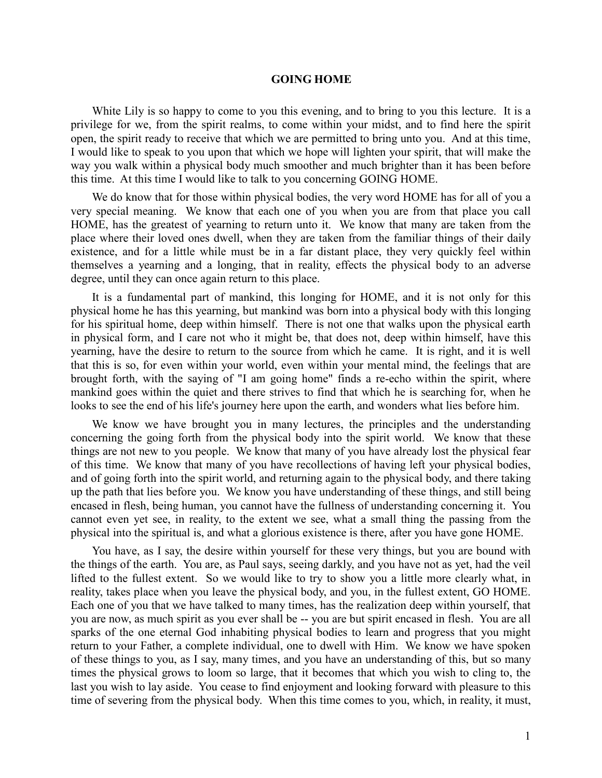## **GOING HOME**

White Lily is so happy to come to you this evening, and to bring to you this lecture. It is a privilege for we, from the spirit realms, to come within your midst, and to find here the spirit open, the spirit ready to receive that which we are permitted to bring unto you. And at this time, I would like to speak to you upon that which we hope will lighten your spirit, that will make the way you walk within a physical body much smoother and much brighter than it has been before this time. At this time I would like to talk to you concerning GOING HOME.

We do know that for those within physical bodies, the very word HOME has for all of you a very special meaning. We know that each one of you when you are from that place you call HOME, has the greatest of yearning to return unto it. We know that many are taken from the place where their loved ones dwell, when they are taken from the familiar things of their daily existence, and for a little while must be in a far distant place, they very quickly feel within themselves a yearning and a longing, that in reality, effects the physical body to an adverse degree, until they can once again return to this place.

It is a fundamental part of mankind, this longing for HOME, and it is not only for this physical home he has this yearning, but mankind was born into a physical body with this longing for his spiritual home, deep within himself. There is not one that walks upon the physical earth in physical form, and I care not who it might be, that does not, deep within himself, have this yearning, have the desire to return to the source from which he came. It is right, and it is well that this is so, for even within your world, even within your mental mind, the feelings that are brought forth, with the saying of "I am going home" finds a re-echo within the spirit, where mankind goes within the quiet and there strives to find that which he is searching for, when he looks to see the end of his life's journey here upon the earth, and wonders what lies before him.

We know we have brought you in many lectures, the principles and the understanding concerning the going forth from the physical body into the spirit world. We know that these things are not new to you people. We know that many of you have already lost the physical fear of this time. We know that many of you have recollections of having left your physical bodies, and of going forth into the spirit world, and returning again to the physical body, and there taking up the path that lies before you. We know you have understanding of these things, and still being encased in flesh, being human, you cannot have the fullness of understanding concerning it. You cannot even yet see, in reality, to the extent we see, what a small thing the passing from the physical into the spiritual is, and what a glorious existence is there, after you have gone HOME.

You have, as I say, the desire within yourself for these very things, but you are bound with the things of the earth. You are, as Paul says, seeing darkly, and you have not as yet, had the veil lifted to the fullest extent. So we would like to try to show you a little more clearly what, in reality, takes place when you leave the physical body, and you, in the fullest extent, GO HOME. Each one of you that we have talked to many times, has the realization deep within yourself, that you are now, as much spirit as you ever shall be -- you are but spirit encased in flesh. You are all sparks of the one eternal God inhabiting physical bodies to learn and progress that you might return to your Father, a complete individual, one to dwell with Him. We know we have spoken of these things to you, as I say, many times, and you have an understanding of this, but so many times the physical grows to loom so large, that it becomes that which you wish to cling to, the last you wish to lay aside. You cease to find enjoyment and looking forward with pleasure to this time of severing from the physical body. When this time comes to you, which, in reality, it must,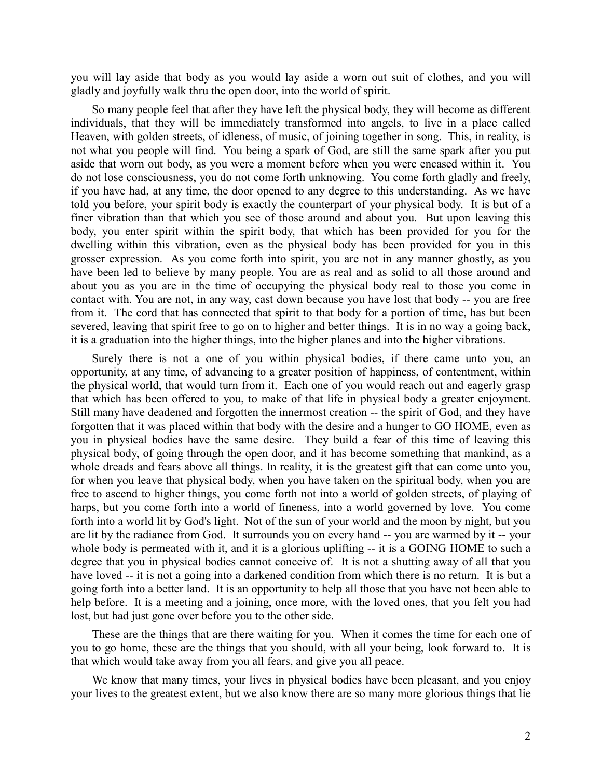you will lay aside that body as you would lay aside a worn out suit of clothes, and you will gladly and joyfully walk thru the open door, into the world of spirit.

So many people feel that after they have left the physical body, they will become as different individuals, that they will be immediately transformed into angels, to live in a place called Heaven, with golden streets, of idleness, of music, of joining together in song. This, in reality, is not what you people will find. You being a spark of God, are still the same spark after you put aside that worn out body, as you were a moment before when you were encased within it. You do not lose consciousness, you do not come forth unknowing. You come forth gladly and freely, if you have had, at any time, the door opened to any degree to this understanding. As we have told you before, your spirit body is exactly the counterpart of your physical body. It is but of a finer vibration than that which you see of those around and about you. But upon leaving this body, you enter spirit within the spirit body, that which has been provided for you for the dwelling within this vibration, even as the physical body has been provided for you in this grosser expression. As you come forth into spirit, you are not in any manner ghostly, as you have been led to believe by many people. You are as real and as solid to all those around and about you as you are in the time of occupying the physical body real to those you come in contact with. You are not, in any way, cast down because you have lost that body -- you are free from it. The cord that has connected that spirit to that body for a portion of time, has but been severed, leaving that spirit free to go on to higher and better things. It is in no way a going back, it is a graduation into the higher things, into the higher planes and into the higher vibrations.

Surely there is not a one of you within physical bodies, if there came unto you, an opportunity, at any time, of advancing to a greater position of happiness, of contentment, within the physical world, that would turn from it. Each one of you would reach out and eagerly grasp that which has been offered to you, to make of that life in physical body a greater enjoyment. Still many have deadened and forgotten the innermost creation -- the spirit of God, and they have forgotten that it was placed within that body with the desire and a hunger to GO HOME, even as you in physical bodies have the same desire. They build a fear of this time of leaving this physical body, of going through the open door, and it has become something that mankind, as a whole dreads and fears above all things. In reality, it is the greatest gift that can come unto you, for when you leave that physical body, when you have taken on the spiritual body, when you are free to ascend to higher things, you come forth not into a world of golden streets, of playing of harps, but you come forth into a world of fineness, into a world governed by love. You come forth into a world lit by God's light. Not of the sun of your world and the moon by night, but you are lit by the radiance from God. It surrounds you on every hand -- you are warmed by it -- your whole body is permeated with it, and it is a glorious uplifting -- it is a GOING HOME to such a degree that you in physical bodies cannot conceive of. It is not a shutting away of all that you have loved -- it is not a going into a darkened condition from which there is no return. It is but a going forth into a better land. It is an opportunity to help all those that you have not been able to help before. It is a meeting and a joining, once more, with the loved ones, that you felt you had lost, but had just gone over before you to the other side.

These are the things that are there waiting for you. When it comes the time for each one of you to go home, these are the things that you should, with all your being, look forward to. It is that which would take away from you all fears, and give you all peace.

We know that many times, your lives in physical bodies have been pleasant, and you enjoy your lives to the greatest extent, but we also know there are so many more glorious things that lie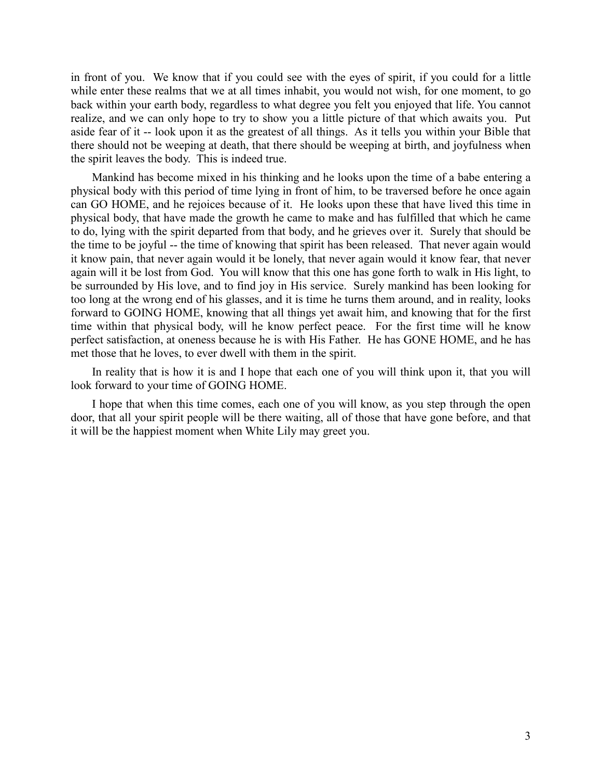in front of you. We know that if you could see with the eyes of spirit, if you could for a little while enter these realms that we at all times inhabit, you would not wish, for one moment, to go back within your earth body, regardless to what degree you felt you enjoyed that life. You cannot realize, and we can only hope to try to show you a little picture of that which awaits you. Put aside fear of it -- look upon it as the greatest of all things. As it tells you within your Bible that there should not be weeping at death, that there should be weeping at birth, and joyfulness when the spirit leaves the body. This is indeed true.

Mankind has become mixed in his thinking and he looks upon the time of a babe entering a physical body with this period of time lying in front of him, to be traversed before he once again can GO HOME, and he rejoices because of it. He looks upon these that have lived this time in physical body, that have made the growth he came to make and has fulfilled that which he came to do, lying with the spirit departed from that body, and he grieves over it. Surely that should be the time to be joyful -- the time of knowing that spirit has been released. That never again would it know pain, that never again would it be lonely, that never again would it know fear, that never again will it be lost from God. You will know that this one has gone forth to walk in His light, to be surrounded by His love, and to find joy in His service. Surely mankind has been looking for too long at the wrong end of his glasses, and it is time he turns them around, and in reality, looks forward to GOING HOME, knowing that all things yet await him, and knowing that for the first time within that physical body, will he know perfect peace. For the first time will he know perfect satisfaction, at oneness because he is with His Father. He has GONE HOME, and he has met those that he loves, to ever dwell with them in the spirit.

In reality that is how it is and I hope that each one of you will think upon it, that you will look forward to your time of GOING HOME.

I hope that when this time comes, each one of you will know, as you step through the open door, that all your spirit people will be there waiting, all of those that have gone before, and that it will be the happiest moment when White Lily may greet you.